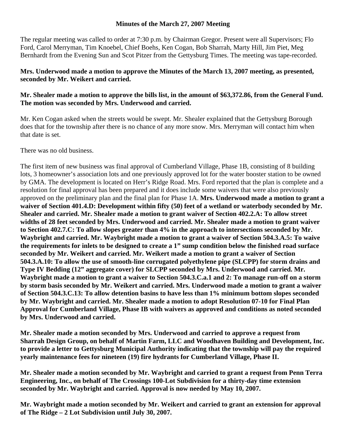#### **Minutes of the March 27, 2007 Meeting**

The regular meeting was called to order at 7:30 p.m. by Chairman Gregor. Present were all Supervisors; Flo Ford, Carol Merryman, Tim Knoebel, Chief Boehs, Ken Cogan, Bob Sharrah, Marty Hill, Jim Piet, Meg Bernhardt from the Evening Sun and Scot Pitzer from the Gettysburg Times. The meeting was tape-recorded.

#### **Mrs. Underwood made a motion to approve the Minutes of the March 13, 2007 meeting, as presented, seconded by Mr. Weikert and carried.**

# **Mr. Shealer made a motion to approve the bills list, in the amount of \$63,372.86, from the General Fund. The motion was seconded by Mrs. Underwood and carried.**

Mr. Ken Cogan asked when the streets would be swept. Mr. Shealer explained that the Gettysburg Borough does that for the township after there is no chance of any more snow. Mrs. Merryman will contact him when that date is set.

There was no old business.

The first item of new business was final approval of Cumberland Village, Phase 1B, consisting of 8 building lots, 3 homeowner's association lots and one previously approved lot for the water booster station to be owned by GMA. The development is located on Herr's Ridge Road. Mrs. Ford reported that the plan is complete and a resolution for final approval has been prepared and it does include some waivers that were also previously approved on the preliminary plan and the final plan for Phase 1A. **Mrs. Underwood made a motion to grant a waiver of Section 401.4.D: Development within fifty (50) feet of a wetland or waterbody seconded by Mr. Shealer and carried. Mr. Shealer made a motion to grant waiver of Section 402.2.A: To allow street widths of 28 feet seconded by Mrs. Underwood and carried. Mr. Shealer made a motion to grant waiver to Section 402.7.C: To allow slopes greater than 4% in the approach to intersections seconded by Mr. Waybright and carried. Mr. Waybright made a motion to grant a waiver of Section 504.3.A.5: To waive the requirements for inlets to be designed to create a 1" sump condition below the finished road surface seconded by Mr. Weikert and carried. Mr. Weikert made a motion to grant a waiver of Section 504.3.A.10: To allow the use of smooth-line corrugated polyethylene pipe (SLCPP) for storm drains and Type IV Bedding (12" aggregate cover) for SLCPP seconded by Mrs. Underwood and carried. Mr. Waybright made a motion to grant a waiver to Section 504.3.C.a.1 and 2: To manage run-off on a storm by storm basis seconded by Mr. Weikert and carried. Mrs. Underwood made a motion to grant a waiver of Section 504.3.C.13: To allow detention basins to have less than 1% minimum bottom slopes seconded by Mr. Waybright and carried. Mr. Shealer made a motion to adopt Resolution 07-10 for Final Plan Approval for Cumberland Village, Phase IB with waivers as approved and conditions as noted seconded by Mrs. Underwood and carried.** 

**Mr. Shealer made a motion seconded by Mrs. Underwood and carried to approve a request from Sharrah Design Group, on behalf of Martin Farm, LLC and Woodhaven Building and Development, Inc. to provide a letter to Gettysburg Municipal Authority indicating that the township will pay the required yearly maintenance fees for nineteen (19) fire hydrants for Cumberland Village, Phase II.** 

**Mr. Shealer made a motion seconded by Mr. Waybright and carried to grant a request from Penn Terra Engineering, Inc., on behalf of The Crossings 100-Lot Subdivision for a thirty-day time extension seconded by Mr. Waybright and carried. Approval is now needed by May 10, 2007.** 

**Mr. Waybright made a motion seconded by Mr. Weikert and carried to grant an extension for approval of The Ridge – 2 Lot Subdivision until July 30, 2007.**